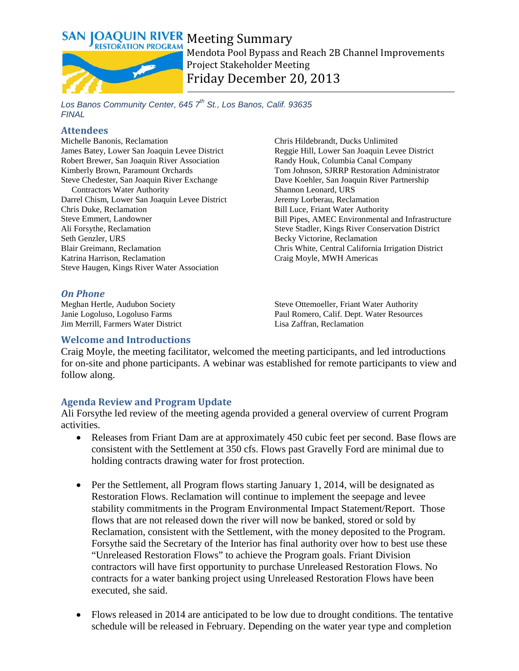

Mendota Pool Bypass and Reach 2B Channel Improvements Project Stakeholder Meeting Friday December 20, 2013

*Los Banos Community Center, 645 7th St., Los Banos, Calif. 93635 FINAL*

#### **Attendees**

Michelle Banonis, Reclamation James Batey, Lower San Joaquin Levee District Robert Brewer, San Joaquin River Association Kimberly Brown, Paramount Orchards Steve Chedester, San Joaquin River Exchange Contractors Water Authority Darrel Chism, Lower San Joaquin Levee District Chris Duke, Reclamation Steve Emmert, Landowner Ali Forsythe, Reclamation Seth Genzler, URS Blair Greimann, Reclamation Katrina Harrison, Reclamation Steve Haugen, Kings River Water Association

### *On Phone*

Meghan Hertle, Audubon Society Janie Logoluso, Logoluso Farms Jim Merrill, Farmers Water District Chris Hildebrandt, Ducks Unlimited Reggie Hill, Lower San Joaquin Levee District Randy Houk, Columbia Canal Company Tom Johnson, SJRRP Restoration Administrator Dave Koehler, San Joaquin River Partnership Shannon Leonard, URS Jeremy Lorberau, Reclamation Bill Luce, Friant Water Authority Bill Pipes, AMEC Environmental and Infrastructure Steve Stadler, Kings River Conservation District Becky Victorine, Reclamation Chris White, Central California Irrigation District Craig Moyle, MWH Americas

Steve Ottemoeller, Friant Water Authority Paul Romero, Calif. Dept. Water Resources Lisa Zaffran, Reclamation

### **Welcome and Introductions**

Craig Moyle, the meeting facilitator, welcomed the meeting participants, and led introductions for on-site and phone participants. A webinar was established for remote participants to view and follow along.

### **Agenda Review and Program Update**

Ali Forsythe led review of the meeting agenda provided a general overview of current Program activities.

- Releases from Friant Dam are at approximately 450 cubic feet per second. Base flows are consistent with the Settlement at 350 cfs. Flows past Gravelly Ford are minimal due to holding contracts drawing water for frost protection.
- Per the Settlement, all Program flows starting January 1, 2014, will be designated as Restoration Flows. Reclamation will continue to implement the seepage and levee stability commitments in the Program Environmental Impact Statement/Report. Those flows that are not released down the river will now be banked, stored or sold by Reclamation, consistent with the Settlement, with the money deposited to the Program. Forsythe said the Secretary of the Interior has final authority over how to best use these "Unreleased Restoration Flows" to achieve the Program goals. Friant Division contractors will have first opportunity to purchase Unreleased Restoration Flows. No contracts for a water banking project using Unreleased Restoration Flows have been executed, she said.
- Flows released in 2014 are anticipated to be low due to drought conditions. The tentative schedule will be released in February. Depending on the water year type and completion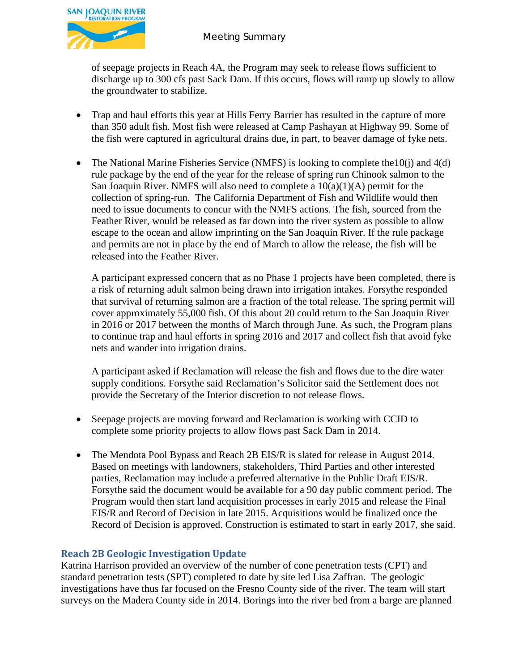

of seepage projects in Reach 4A, the Program may seek to release flows sufficient to discharge up to 300 cfs past Sack Dam. If this occurs, flows will ramp up slowly to allow the groundwater to stabilize.

- Trap and haul efforts this year at Hills Ferry Barrier has resulted in the capture of more than 350 adult fish. Most fish were released at Camp Pashayan at Highway 99. Some of the fish were captured in agricultural drains due, in part, to beaver damage of fyke nets.
- The National Marine Fisheries Service (NMFS) is looking to complete the  $10(i)$  and  $4(d)$ rule package by the end of the year for the release of spring run Chinook salmon to the San Joaquin River. NMFS will also need to complete a  $10(a)(1)(A)$  permit for the collection of spring-run. The California Department of Fish and Wildlife would then need to issue documents to concur with the NMFS actions. The fish, sourced from the Feather River, would be released as far down into the river system as possible to allow escape to the ocean and allow imprinting on the San Joaquin River. If the rule package and permits are not in place by the end of March to allow the release, the fish will be released into the Feather River.

A participant expressed concern that as no Phase 1 projects have been completed, there is a risk of returning adult salmon being drawn into irrigation intakes. Forsythe responded that survival of returning salmon are a fraction of the total release. The spring permit will cover approximately 55,000 fish. Of this about 20 could return to the San Joaquin River in 2016 or 2017 between the months of March through June. As such, the Program plans to continue trap and haul efforts in spring 2016 and 2017 and collect fish that avoid fyke nets and wander into irrigation drains.

A participant asked if Reclamation will release the fish and flows due to the dire water supply conditions. Forsythe said Reclamation's Solicitor said the Settlement does not provide the Secretary of the Interior discretion to not release flows.

- Seepage projects are moving forward and Reclamation is working with CCID to complete some priority projects to allow flows past Sack Dam in 2014.
- The Mendota Pool Bypass and Reach 2B EIS/R is slated for release in August 2014. Based on meetings with landowners, stakeholders, Third Parties and other interested parties, Reclamation may include a preferred alternative in the Public Draft EIS/R. Forsythe said the document would be available for a 90 day public comment period. The Program would then start land acquisition processes in early 2015 and release the Final EIS/R and Record of Decision in late 2015. Acquisitions would be finalized once the Record of Decision is approved. Construction is estimated to start in early 2017, she said.

# **Reach 2B Geologic Investigation Update**

Katrina Harrison provided an overview of the number of cone penetration tests (CPT) and standard penetration tests (SPT) completed to date by site led Lisa Zaffran. The geologic investigations have thus far focused on the Fresno County side of the river. The team will start surveys on the Madera County side in 2014. Borings into the river bed from a barge are planned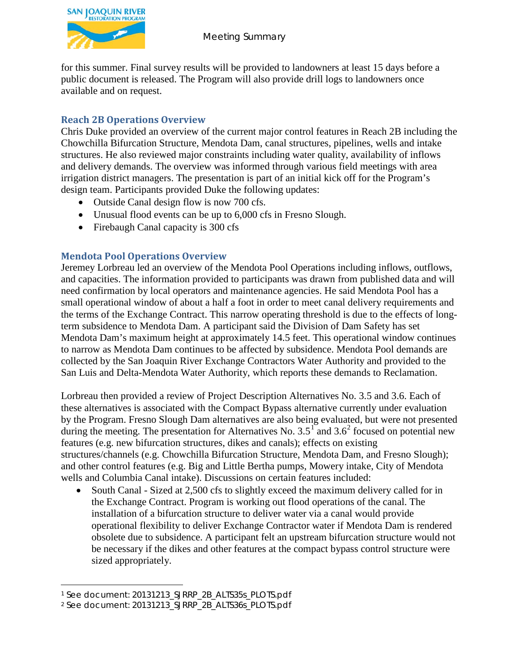

for this summer. Final survey results will be provided to landowners at least 15 days before a public document is released. The Program will also provide drill logs to landowners once available and on request.

## **Reach 2B Operations Overview**

Chris Duke provided an overview of the current major control features in Reach 2B including the Chowchilla Bifurcation Structure, Mendota Dam, canal structures, pipelines, wells and intake structures. He also reviewed major constraints including water quality, availability of inflows and delivery demands. The overview was informed through various field meetings with area irrigation district managers. The presentation is part of an initial kick off for the Program's design team. Participants provided Duke the following updates:

- Outside Canal design flow is now 700 cfs.
- Unusual flood events can be up to 6,000 cfs in Fresno Slough.
- Firebaugh Canal capacity is 300 cfs

# **Mendota Pool Operations Overview**

Jeremey Lorbreau led an overview of the Mendota Pool Operations including inflows, outflows, and capacities. The information provided to participants was drawn from published data and will need confirmation by local operators and maintenance agencies. He said Mendota Pool has a small operational window of about a half a foot in order to meet canal delivery requirements and the terms of the Exchange Contract. This narrow operating threshold is due to the effects of longterm subsidence to Mendota Dam. A participant said the Division of Dam Safety has set Mendota Dam's maximum height at approximately 14.5 feet. This operational window continues to narrow as Mendota Dam continues to be affected by subsidence. Mendota Pool demands are collected by the San Joaquin River Exchange Contractors Water Authority and provided to the San Luis and Delta-Mendota Water Authority, which reports these demands to Reclamation.

Lorbreau then provided a review of Project Description Alternatives No. 3.5 and 3.6. Each of these alternatives is associated with the Compact Bypass alternative currently under evaluation by the Program. Fresno Slough Dam alternatives are also being evaluated, but were not presented during the meeting. The presentation for Alternatives No.  $3.5^1$  $3.5^1$  and  $3.6^2$  $3.6^2$  focused on potential new features (e.g. new bifurcation structures, dikes and canals); effects on existing structures/channels (e.g. Chowchilla Bifurcation Structure, Mendota Dam, and Fresno Slough); and other control features (e.g. Big and Little Bertha pumps, Mowery intake, City of Mendota wells and Columbia Canal intake). Discussions on certain features included:

• South Canal - Sized at 2,500 cfs to slightly exceed the maximum delivery called for in the Exchange Contract. Program is working out flood operations of the canal. The installation of a bifurcation structure to deliver water via a canal would provide operational flexibility to deliver Exchange Contractor water if Mendota Dam is rendered obsolete due to subsidence. A participant felt an upstream bifurcation structure would not be necessary if the dikes and other features at the compact bypass control structure were sized appropriately.

 $\overline{a}$ 

<span id="page-2-0"></span><sup>1</sup> See document: 20131213\_SJRRP\_2B\_ALTS35s\_PLOTS.pdf

<span id="page-2-1"></span><sup>2</sup> See document: 20131213\_SJRRP\_2B\_ALTS36s\_PLOTS.pdf